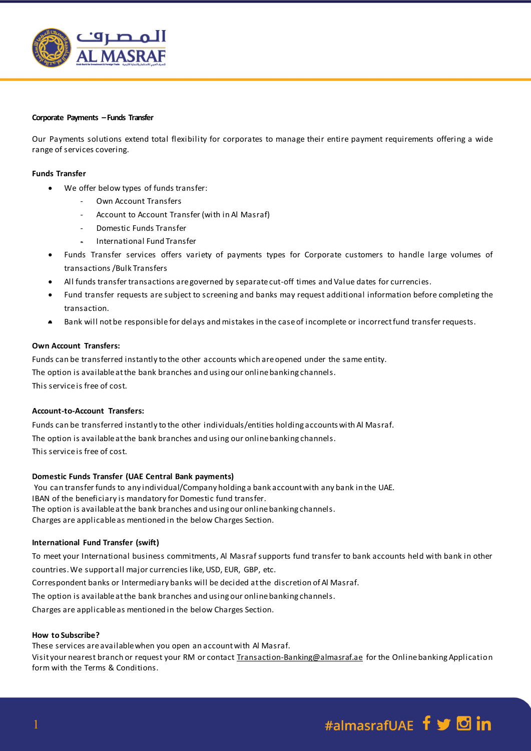

#### **Corporate Payments –Funds Transfer**

Our Payments solutions extend total flexibility for corporates to manage their entire payment requirements offering a wide range of services covering.

### **Funds Transfer**

- We offer below types of funds transfer:
	- Own Account Transfers
	- Account to Account Transfer (with in Al Masraf)
	- Domestic Funds Transfer
	- International Fund Transfer
- Funds Transfer services offers variety of payments types for Corporate customers to handle large volumes of transactions /Bulk Transfers
- All funds transfer transactions are governed by separate cut-off times and Value dates for currencies.
- Fund transfer requests are subject to screening and banks may request additional information before completing the transaction.
- Bank will not be responsible for delays and mistakes in the case of incomplete or incorrect fund transfer requests.

# **Own Account Transfers:**

Funds can be transferred instantly to the other accounts which are opened under the same entity. The option is available at the bank branches and using our online banking channels. This service is free of cost.

# **Account-to-Account Transfers:**

Funds can be transferred instantly to the other individuals/entities holding accounts with Al Masraf. The option is available at the bank branches and using our online banking channels. This service is free of cost.

#### **Domestic Funds Transfer (UAE Central Bank payments)**

You can transfer funds to any individual/Company holding a bank account with any bank in the UAE. IBAN of the beneficiary is mandatory for Domestic fund transfer. The option is available at the bank branches and using our online banking channels. Charges are applicable as mentioned in the below Charges Section.

#### **International Fund Transfer (swift)**

To meet your International business commitments, Al Masraf supports fund transfer to bank accounts held with bank in other countries. We support all major currencies like, USD, EUR, GBP, etc.

Correspondent banks or Intermediary banks will be decided at the discretion of Al Masraf.

The option is available at the bank branches and using our online banking channels.

Charges are applicable as mentioned in the below Charges Section.

#### **How to Subscribe?**

These services are available when you open an account with Al Masraf.

Visit your nearest branch or request your RM or contact [Transaction-Banking@almasraf.ae](mailto:Transaction-Banking@almasraf.ae) for the Online banking Application form with the Terms & Conditions.

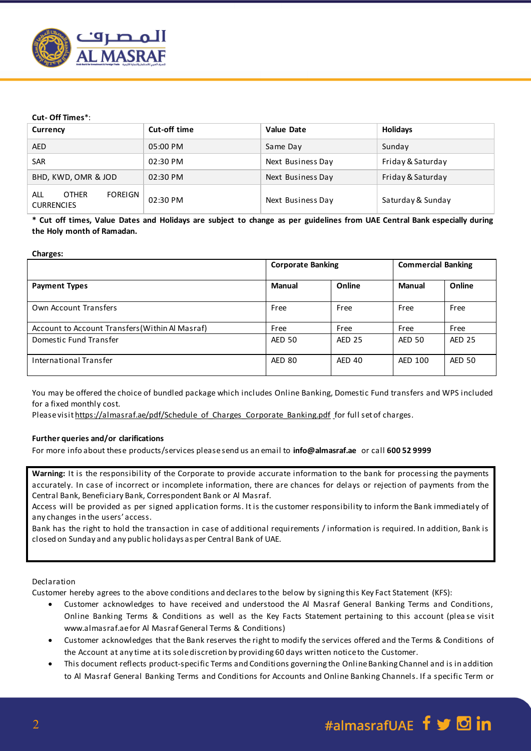

# **Cut- Off Times**\*:

| Currency                                            | Cut-off time | <b>Value Date</b> | <b>Holidays</b>   |
|-----------------------------------------------------|--------------|-------------------|-------------------|
| <b>AED</b>                                          | 05:00 PM     | Same Day          | Sunday            |
| <b>SAR</b>                                          | 02:30 PM     | Next Business Day | Friday & Saturday |
| BHD, KWD, OMR & JOD                                 | 02:30 PM     | Next Business Day | Friday & Saturday |
| <b>OTHER</b><br>ALL<br>FOREIGN<br><b>CURRENCIES</b> | 02:30 PM     | Next Business Day | Saturday & Sunday |

**\* Cut off times, Value Dates and Holidays are subject to change as per guidelines from UAE Central Bank especially during the Holy month of Ramadan.**

#### **Charges:**

|                                                 | <b>Corporate Banking</b> |               | <b>Commercial Banking</b> |               |
|-------------------------------------------------|--------------------------|---------------|---------------------------|---------------|
| <b>Payment Types</b>                            | Manual                   | Online        | Manual                    | Online        |
| Own Account Transfers                           | Free                     | Free          | Free                      | Free          |
| Account to Account Transfers (Within Al Masraf) | Free                     | Free          | Free                      | Free          |
| Domestic Fund Transfer                          | <b>AED 50</b>            | <b>AED 25</b> | <b>AED 50</b>             | <b>AED 25</b> |
| International Transfer                          | <b>AED 80</b>            | <b>AED 40</b> | AED 100                   | <b>AED 50</b> |

You may be offered the choice of bundled package which includes Online Banking, Domestic Fund transfers and WPS included for a fixed monthly cost.

Please visi[t https://almasraf.ae/pdf/Schedule\\_of\\_Charges\\_Corporate\\_Banking.pdf](https://almasraf.ae/pdf/Schedule_of_Charges_Corporate_Banking.pdf) for full set of charges.

### **Further queries and/or clarifications**

For more info about these products/services please send us an email to **info@almasraf.ae** or call **600 52 9999**

**Warning:** It is the responsibility of the Corporate to provide accurate information to the bank for processing the payments accurately. In case of incorrect or incomplete information, there are chances for delays or rejection of payments from the Central Bank, Beneficiary Bank, Correspondent Bank or Al Masraf.

Access will be provided as per signed application forms. It is the customer responsibility to inform the Bank immediately of any changes in the users' access.

Bank has the right to hold the transaction in case of additional requirements / information is required. In addition, Bank is closed on Sunday and any public holidays as per Central Bank of UAE.

#### Declaration

Customer hereby agrees to the above conditions and declares to the below by signing this Key Fact Statement (KFS):

- Customer acknowledges to have received and understood the Al Masraf General Banking Terms and Conditions, Online Banking Terms & Conditions as well as the Key Facts Statement pertaining to this account (plea se visit www.almasraf.ae for Al Masraf General Terms & Conditions)
- Customer acknowledges that the Bank reserves the right to modify the services offered and the Terms & Conditions of the Account at any time at its sole discretion by providing 60 days written notice to the Customer.
- This document reflects product-specific Terms and Conditions governing the Online Banking Channel and is in addition to Al Masraf General Banking Terms and Conditions for Accounts and Online Banking Channels. If a specific Term or